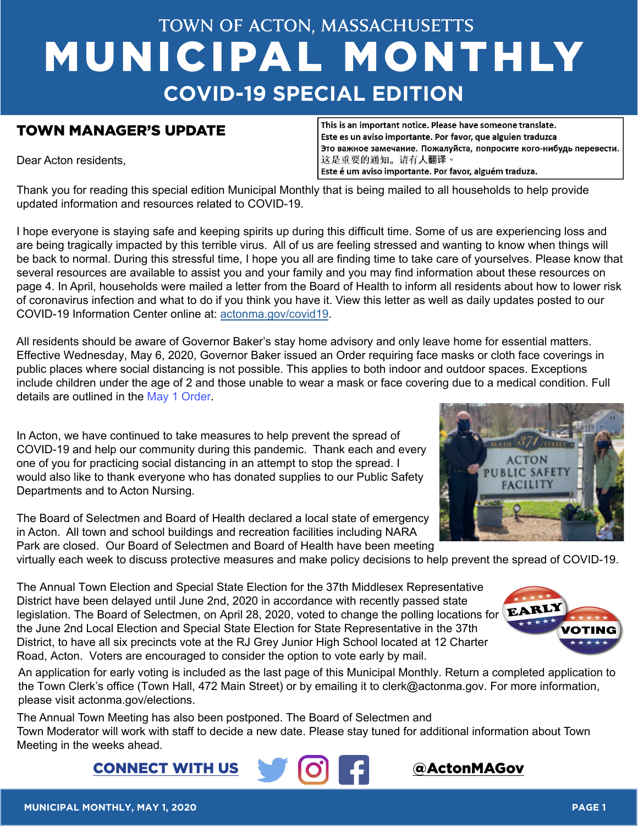# **TOWN OF ACTON, MASSACHUSETTS** MUNICIPAL MONTHLY **COVID-19 SPECIAL EDITION**

## TOWN MANAGER'S UPDATE

Dear Acton residents,

This is an important notice. Please have someone translate. Este es un aviso importante. Por favor, que alguien traduzca Это важное замечание. Пожалуйста, попросите кого-нибудь перевести. 这是重要的通知。请有人翻译。 Este é um aviso importante. Por favor, alguém traduza.

Thank you for reading this special edition Municipal Monthly that is being mailed to all households to help provide updated information and resources related to COVID-19.

I hope everyone is staying safe and keeping spirits up during this difficult time. Some of us are experiencing loss and are being tragically impacted by this terrible virus. All of us are feeling stressed and wanting to know when things will be back to normal. During this stressful time, I hope you all are finding time to take care of yourselves. Please know that several resources are available to assist you and your family and you may find information about these resources on page 4. In April, households were mailed a letter from the Board of Health to inform all residents about how to lower risk of coronavirus infection and what to do if you think you have it. View this letter as well as daily updates posted to our COVID-19 Information Center online at: [actonma.gov/covid19](http://www.actonma.gov/covid19).

All residents should be aware of Governor Baker's stay home advisory and only leave home for essential matters. Effective Wednesday, May 6, 2020, Governor Baker issued an Order requiring face masks or cloth face coverings in public places where social distancing is not possible. This applies to both indoor and outdoor spaces. Exceptions include children under the age of 2 and those unable to wear a mask or face covering due to a medical condition. Full details are outlined in the [May 1 Order.](https://www.mass.gov/doc/may-1-2020-masks-and-face-coverings/download)

In Acton, we have continued to take measures to help prevent the spread of COVID-19 and help our community during this pandemic. Thank each and every one of you for practicing social distancing in an attempt to stop the spread. I would also like to thank everyone who has donated supplies to our Public Safety Departments and to Acton Nursing.

The Board of Selectmen and Board of Health declared a local state of emergency in Acton. All town and school buildings and recreation facilities including NARA Park are closed. Our Board of Selectmen and Board of Health have been meeting



virtually each week to discuss protective measures and make policy decisions to help prevent the spread of COVID-19.

The Annual Town Election and Special State Election for the 37th Middlesex Representative District have been delayed until June 2nd, 2020 in accordance with recently passed state legislation. The Board of Selectmen, on April 28, 2020, voted to change the polling locations for EARL the June 2nd Local Election and Special State Election for State Representative in the 37th District, to have all six precincts vote at the RJ Grey Junior High School located at 12 Charter Road, Acton. Voters are encouraged to consider the option to vote early by mail.



An application for early voting is included as the last page of this Municipal Monthly. Return a completed application to the Town Clerk's office (Town Hall, 472 Main Street) or by emailing it to clerk@actonma.gov. For more information, please visit [actonma.gov/elections.](http://www.actonma.gov/elections)

The Annual Town Meeting has also been postponed. The Board of Selectmen and Town Moderator will work with staff to decide a new date. Please stay tuned for additional information about Town Meeting in the weeks ahead.

CONNECT WITH US

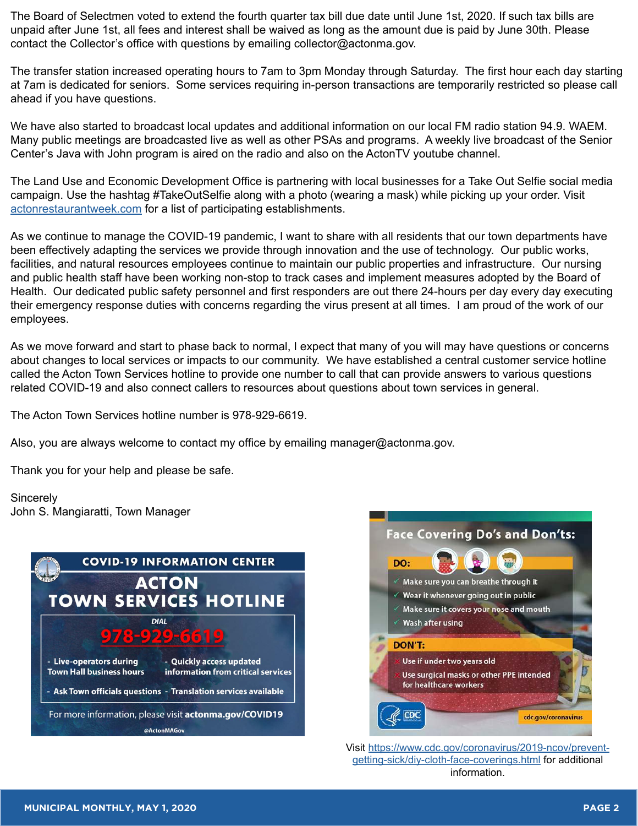The Board of Selectmen voted to extend the fourth quarter tax bill due date until June 1st, 2020. If such tax bills are unpaid after June 1st, all fees and interest shall be waived as long as the amount due is paid by June 30th. Please contact the Collector's office with questions by emailing collector@actonma.gov.

The transfer station increased operating hours to 7am to 3pm Monday through Saturday. The first hour each day starting at 7am is dedicated for seniors. Some services requiring in-person transactions are temporarily restricted so please call ahead if you have questions.

We have also started to broadcast local updates and additional information on our local FM radio station 94.9. WAEM. Many public meetings are broadcasted live as well as other PSAs and programs. A weekly live broadcast of the Senior Center's Java with John program is aired on the radio and also on the ActonTV youtube channel.

The Land Use and Economic Development Office is partnering with local businesses for a Take Out Selfie social media campaign. Use the hashtag #TakeOutSelfie along with a photo (wearing a mask) while picking up your order. Visit [actonrestaurantweek.com](http://www.actonrestaurantweek.com) for a list of participating establishments.

As we continue to manage the COVID-19 pandemic, I want to share with all residents that our town departments have been effectively adapting the services we provide through innovation and the use of technology. Our public works, facilities, and natural resources employees continue to maintain our public properties and infrastructure. Our nursing and public health staff have been working non-stop to track cases and implement measures adopted by the Board of Health. Our dedicated public safety personnel and first responders are out there 24-hours per day every day executing their emergency response duties with concerns regarding the virus present at all times. I am proud of the work of our employees.

As we move forward and start to phase back to normal, I expect that many of you will may have questions or concerns about changes to local services or impacts to our community. We have established a central customer service hotline called the Acton Town Services hotline to provide one number to call that can provide answers to various questions related COVID-19 and also connect callers to resources about questions about town services in general.

The Acton Town Services hotline number is 978-929-6619.

Also, you are always welcome to contact my office by emailing manager@actonma.gov.

Thank you for your help and please be safe.

**Sincerely** John S. Mangiaratti, Town Manager





Visit [https://www.cdc.gov/coronavirus/2019-ncov/prevent](https://www.cdc.gov/coronavirus/2019-ncov/prevent-getting-sick/diy-cloth-face-coverings.html)[getting-sick/diy-cloth-face-coverings.html](https://www.cdc.gov/coronavirus/2019-ncov/prevent-getting-sick/diy-cloth-face-coverings.html) for additional information.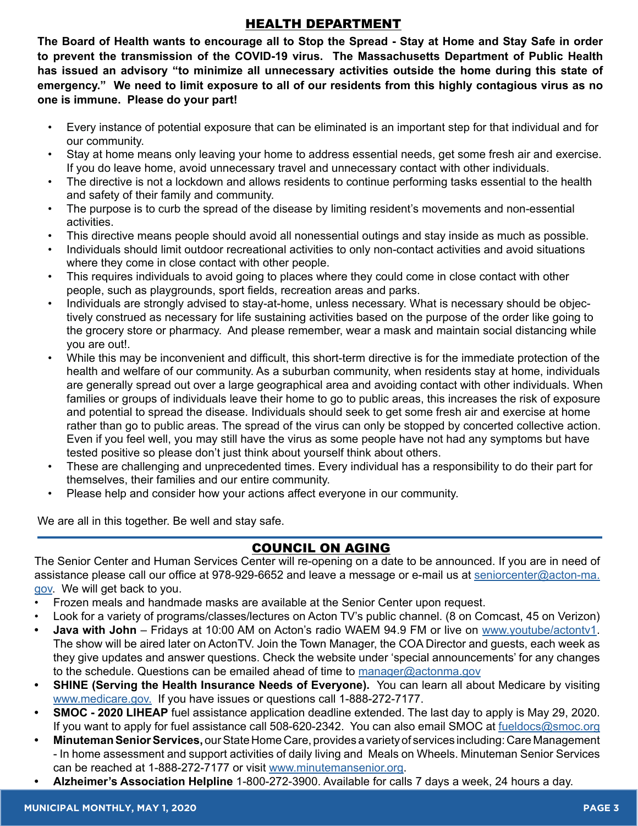## HEALTH DEPARTMENT

**The Board of Health wants to encourage all to Stop the Spread - Stay at Home and Stay Safe in order to prevent the transmission of the COVID-19 virus. The Massachusetts Department of Public Health has issued an advisory "to minimize all unnecessary activities outside the home during this state of emergency." We need to limit exposure to all of our residents from this highly contagious virus as no one is immune. Please do your part!** 

- Every instance of potential exposure that can be eliminated is an important step for that individual and for our community.
- Stay at home means only leaving your home to address essential needs, get some fresh air and exercise. If you do leave home, avoid unnecessary travel and unnecessary contact with other individuals.
- The directive is not a lockdown and allows residents to continue performing tasks essential to the health and safety of their family and community.
- The purpose is to curb the spread of the disease by limiting resident's movements and non-essential activities.
- This directive means people should avoid all nonessential outings and stay inside as much as possible.
- Individuals should limit outdoor recreational activities to only non-contact activities and avoid situations where they come in close contact with other people.
- This requires individuals to avoid going to places where they could come in close contact with other people, such as playgrounds, sport fields, recreation areas and parks.
- Individuals are strongly advised to stay-at-home, unless necessary. What is necessary should be objectively construed as necessary for life sustaining activities based on the purpose of the order like going to the grocery store or pharmacy. And please remember, wear a mask and maintain social distancing while you are out!.
- While this may be inconvenient and difficult, this short-term directive is for the immediate protection of the health and welfare of our community. As a suburban community, when residents stay at home, individuals are generally spread out over a large geographical area and avoiding contact with other individuals. When families or groups of individuals leave their home to go to public areas, this increases the risk of exposure and potential to spread the disease. Individuals should seek to get some fresh air and exercise at home rather than go to public areas. The spread of the virus can only be stopped by concerted collective action. Even if you feel well, you may still have the virus as some people have not had any symptoms but have tested positive so please don't just think about yourself think about others.
- These are challenging and unprecedented times. Every individual has a responsibility to do their part for themselves, their families and our entire community.
- Please help and consider how your actions affect everyone in our community.

We are all in this together. Be well and stay safe.

## COUNCIL ON AGING

The Senior Center and Human Services Center will re-opening on a date to be announced. If you are in need of assistance please call our office at 978-929-6652 and leave a message or e-mail us at [seniorcenter@acton-ma.](mailto:seniorcenter%40acton-ma.gov?subject=) [gov](mailto:seniorcenter%40acton-ma.gov?subject=). We will get back to you.

- Frozen meals and handmade masks are available at the Senior Center upon request.
- Look for a variety of programs/classes/lectures on Acton TV's public channel. (8 on Comcast, 45 on Verizon)
- **• Java with John**  Fridays at 10:00 AM on Acton's radio WAEM 94.9 FM or live on [www.youtube/actontv1.](http://www.youtube/actontv1) The show will be aired later on ActonTV. Join the Town Manager, the COA Director and guests, each week as they give updates and answer questions. Check the website under 'special announcements' for any changes to the schedule. Questions can be emailed ahead of time to [manager@actonma.gov](mailto:manager%40actonma.gov?subject=)
- **SHINE (Serving the Health Insurance Needs of Everyone).** You can learn all about Medicare by visiting [www.medicare.gov.](https://www.medicare.gov/) If you have issues or questions call 1-888-272-7177.
- **• SMOC 2020 LIHEAP** fuel assistance application deadline extended. The last day to apply is May 29, 2020. If you want to apply for fuel assistance call 508-620-2342. You can also email SMOC at [fueldocs@smoc.org](http://fueldocs@smoc.org)
- **• Minuteman Senior Services,** our State Home Care, provides a variety of services including: Care Management - In home assessment and support activities of daily living and Meals on Wheels. Minuteman Senior Services can be reached at 1-888-272-7177 or visit [www.minutemansenior.org](http://www.minutemansenior.org).
- **• Alzheimer's Association Helpline** 1-800-272-3900. Available for calls 7 days a week, 24 hours a day.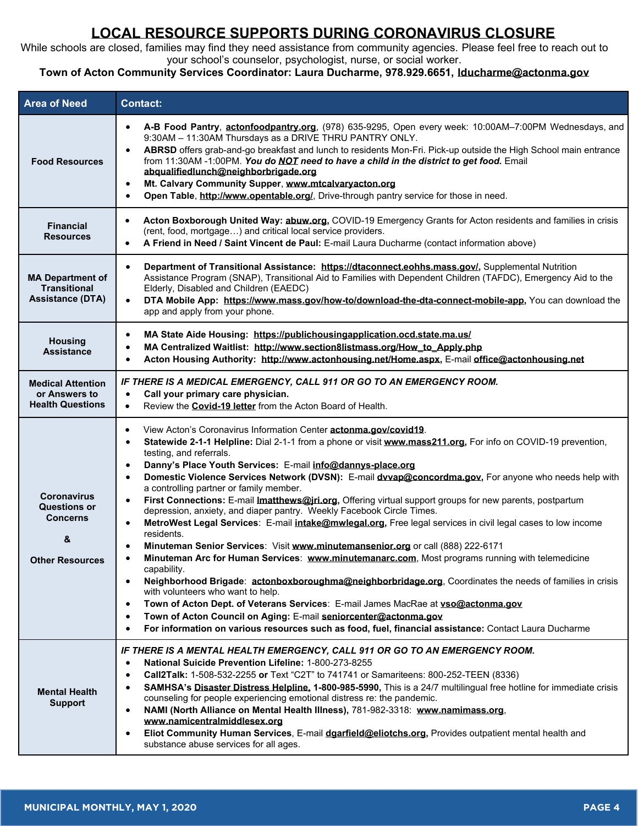## **LOCAL RESOURCE SUPPORTS DURING CORONAVIRUS CLOSURE**

While schools are closed, families may find they need assistance from community agencies. Please feel free to reach out to your school's counselor, psychologist, nurse, or social worker.

#### **Town of Acton Community Services Coordinator: Laura Ducharme, 978.929.6651, lducharme@actonma.gov**

| <b>Area of Need</b>                                                                         | <b>Contact:</b>                                                                                                                                                                                                                                                                                                                                                                                                                                                                                                                                                                                                                                                                                                                                                                                                                                                                                                                                                                                                                                                                                                                                                                                                                                                                                                                                                                                                                                                                                                                   |  |  |
|---------------------------------------------------------------------------------------------|-----------------------------------------------------------------------------------------------------------------------------------------------------------------------------------------------------------------------------------------------------------------------------------------------------------------------------------------------------------------------------------------------------------------------------------------------------------------------------------------------------------------------------------------------------------------------------------------------------------------------------------------------------------------------------------------------------------------------------------------------------------------------------------------------------------------------------------------------------------------------------------------------------------------------------------------------------------------------------------------------------------------------------------------------------------------------------------------------------------------------------------------------------------------------------------------------------------------------------------------------------------------------------------------------------------------------------------------------------------------------------------------------------------------------------------------------------------------------------------------------------------------------------------|--|--|
| <b>Food Resources</b>                                                                       | A-B Food Pantry, actonfoodpantry.org, (978) 635-9295, Open every week: 10:00AM-7:00PM Wednesdays, and<br>$\bullet$<br>9:30AM - 11:30AM Thursdays as a DRIVE THRU PANTRY ONLY.<br>ABRSD offers grab-and-go breakfast and lunch to residents Mon-Fri. Pick-up outside the High School main entrance<br>$\bullet$<br>from 11:30AM -1:00PM. You do NOT need to have a child in the district to get food. Email<br>abqualifiedlunch@neighborbrigade.org<br>Mt. Calvary Community Supper, www.mtcalvaryacton.org<br>$\bullet$<br>Open Table, http://www.opentable.org/, Drive-through pantry service for those in need.<br>$\bullet$                                                                                                                                                                                                                                                                                                                                                                                                                                                                                                                                                                                                                                                                                                                                                                                                                                                                                                    |  |  |
| <b>Financial</b><br><b>Resources</b>                                                        | Acton Boxborough United Way: abuw.org, COVID-19 Emergency Grants for Acton residents and families in crisis<br>$\bullet$<br>(rent, food, mortgage) and critical local service providers.<br>A Friend in Need / Saint Vincent de Paul: E-mail Laura Ducharme (contact information above)<br>$\bullet$                                                                                                                                                                                                                                                                                                                                                                                                                                                                                                                                                                                                                                                                                                                                                                                                                                                                                                                                                                                                                                                                                                                                                                                                                              |  |  |
| <b>MA Department of</b><br><b>Transitional</b><br><b>Assistance (DTA)</b>                   | Department of Transitional Assistance: https://dtaconnect.eohhs.mass.gov/, Supplemental Nutrition<br>$\bullet$<br>Assistance Program (SNAP), Transitional Aid to Families with Dependent Children (TAFDC), Emergency Aid to the<br>Elderly, Disabled and Children (EAEDC)<br>DTA Mobile App: https://www.mass.gov/how-to/download-the-dta-connect-mobile-app, You can download the<br>$\bullet$<br>app and apply from your phone.                                                                                                                                                                                                                                                                                                                                                                                                                                                                                                                                                                                                                                                                                                                                                                                                                                                                                                                                                                                                                                                                                                 |  |  |
| <b>Housing</b><br><b>Assistance</b>                                                         | MA State Aide Housing: https://publichousingapplication.ocd.state.ma.us/<br>$\bullet$<br>MA Centralized Waitlist: http://www.section8listmass.org/How_to_Apply.php<br>$\bullet$<br>Acton Housing Authority: http://www.actonhousing.net/Home.aspx, E-mail office@actonhousing.net<br>$\bullet$                                                                                                                                                                                                                                                                                                                                                                                                                                                                                                                                                                                                                                                                                                                                                                                                                                                                                                                                                                                                                                                                                                                                                                                                                                    |  |  |
| <b>Medical Attention</b><br>or Answers to<br><b>Health Questions</b>                        | IF THERE IS A MEDICAL EMERGENCY, CALL 911 OR GO TO AN EMERGENCY ROOM.<br>Call your primary care physician.<br>$\bullet$<br>Review the <b>Covid-19 letter</b> from the Acton Board of Health.<br>$\bullet$                                                                                                                                                                                                                                                                                                                                                                                                                                                                                                                                                                                                                                                                                                                                                                                                                                                                                                                                                                                                                                                                                                                                                                                                                                                                                                                         |  |  |
| <b>Coronavirus</b><br><b>Questions or</b><br><b>Concerns</b><br>&<br><b>Other Resources</b> | View Acton's Coronavirus Information Center actonma.gov/covid19.<br>$\bullet$<br>Statewide 2-1-1 Helpline: Dial 2-1-1 from a phone or visit www.mass211.org, For info on COVID-19 prevention,<br>$\bullet$<br>testing, and referrals.<br>Danny's Place Youth Services: E-mail info@dannys-place.org<br>$\bullet$<br>Domestic Violence Services Network (DVSN): E-mail dvvap@concordma.gov, For anyone who needs help with<br>$\bullet$<br>a controlling partner or family member.<br>First Connections: E-mail Imatthews@jri.org, Offering virtual support groups for new parents, postpartum<br>$\bullet$<br>depression, anxiety, and diaper pantry. Weekly Facebook Circle Times.<br>MetroWest Legal Services: E-mail intake@mwlegal.org, Free legal services in civil legal cases to low income<br>$\bullet$<br>residents.<br>Minuteman Senior Services: Visit www.minutemansenior.org or call (888) 222-6171<br>$\bullet$<br>Minuteman Arc for Human Services: www.minutemanarc.com, Most programs running with telemedicine<br>$\bullet$<br>capability.<br>Neighborhood Brigade: actonboxboroughma@neighborbridage.org, Coordinates the needs of families in crisis<br>$\bullet$<br>with volunteers who want to help.<br>Town of Acton Dept. of Veterans Services: E-mail James MacRae at vso@actonma.gov<br>$\bullet$<br>Town of Acton Council on Aging: E-mail seniorcenter@actonma.gov<br>$\bullet$<br>For information on various resources such as food, fuel, financial assistance: Contact Laura Ducharme<br>$\bullet$ |  |  |
| <b>Mental Health</b><br><b>Support</b>                                                      | IF THERE IS A MENTAL HEALTH EMERGENCY, CALL 911 OR GO TO AN EMERGENCY ROOM.<br>National Suicide Prevention Lifeline: 1-800-273-8255<br>$\bullet$<br>Call2Talk: 1-508-532-2255 or Text "C2T" to 741741 or Samariteens: 800-252-TEEN (8336)<br>$\bullet$<br>SAMHSA's Disaster Distress Helpline, 1-800-985-5990, This is a 24/7 multilingual free hotline for immediate crisis<br>$\bullet$<br>counseling for people experiencing emotional distress re: the pandemic.<br>NAMI (North Alliance on Mental Health Illness), 781-982-3318: www.namimass.org,<br>$\bullet$<br>www.namicentralmiddlesex.org<br>Eliot Community Human Services, E-mail dgarfield@eliotchs.org, Provides outpatient mental health and<br>$\bullet$<br>substance abuse services for all ages.                                                                                                                                                                                                                                                                                                                                                                                                                                                                                                                                                                                                                                                                                                                                                               |  |  |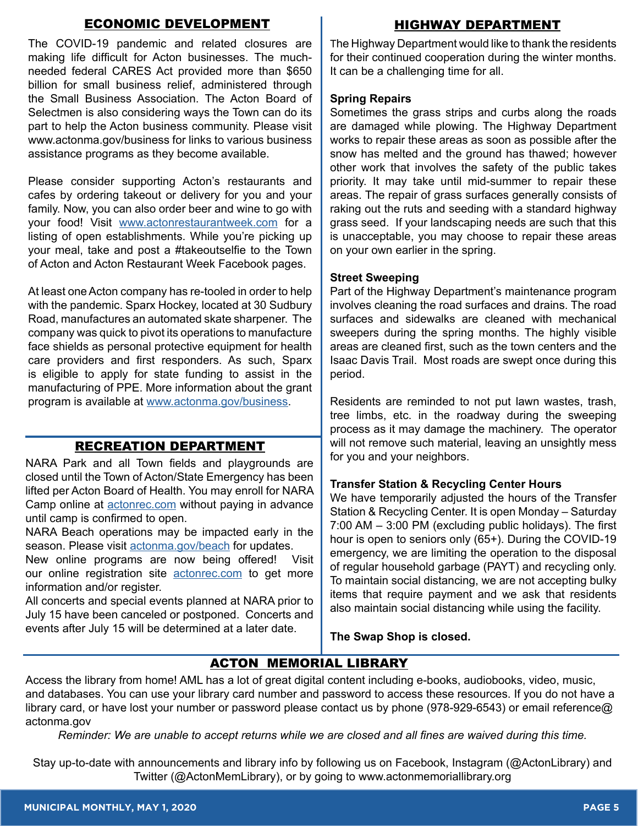#### ECONOMIC DEVELOPMENT

The COVID-19 pandemic and related closures are making life difficult for Acton businesses. The muchneeded federal CARES Act provided more than \$650 billion for small business relief, administered through the Small Business Association. The Acton Board of Selectmen is also considering ways the Town can do its part to help the Acton business community. Please visit www.actonma.gov/business for links to various business assistance programs as they become available.

Please consider supporting Acton's restaurants and cafes by ordering takeout or delivery for you and your family. Now, you can also order beer and wine to go with your food! Visit [www.actonrestaurantweek.com](http://www.actonrestaurantweek.com/) for a listing of open establishments. While you're picking up your meal, take and post a #takeoutselfie to the Town of Acton and Acton Restaurant Week Facebook pages.

At least one Acton company has re-tooled in order to help with the pandemic. Sparx Hockey, located at 30 Sudbury Road, manufactures an automated skate sharpener. The company was quick to pivot its operations to manufacture face shields as personal protective equipment for health care providers and first responders. As such, Sparx is eligible to apply for state funding to assist in the manufacturing of PPE. More information about the grant program is available at [www.actonma.gov/business](https://www.acton-ma.gov/686/Economic-Development).

## RECREATION DEPARTMENT

NARA Park and all Town fields and playgrounds are closed until the Town of Acton/State Emergency has been lifted per Acton Board of Health. You may enroll for NARA Camp online at [actonrec.com](https://actonma.myrec.com/info/default.aspx) without paying in advance until camp is confirmed to open.

NARA Beach operations may be impacted early in the season. Please visit [actonma.gov/beach](https://actonma.gov/312/NARA-Park) for updates.

New online programs are now being offered! Visit our online registration site **actonrec.com** to get more information and/or register.

All concerts and special events planned at NARA prior to July 15 have been canceled or postponed. Concerts and events after July 15 will be determined at a later date.

## HIGHWAY DEPARTMENT

The Highway Department would like to thank the residents for their continued cooperation during the winter months. It can be a challenging time for all.

#### **Spring Repairs**

Sometimes the grass strips and curbs along the roads are damaged while plowing. The Highway Department works to repair these areas as soon as possible after the snow has melted and the ground has thawed; however other work that involves the safety of the public takes priority. It may take until mid-summer to repair these areas. The repair of grass surfaces generally consists of raking out the ruts and seeding with a standard highway grass seed. If your landscaping needs are such that this is unacceptable, you may choose to repair these areas on your own earlier in the spring.

#### **Street Sweeping**

Part of the Highway Department's maintenance program involves cleaning the road surfaces and drains. The road surfaces and sidewalks are cleaned with mechanical sweepers during the spring months. The highly visible areas are cleaned first, such as the town centers and the Isaac Davis Trail. Most roads are swept once during this period.

Residents are reminded to not put lawn wastes, trash, tree limbs, etc. in the roadway during the sweeping process as it may damage the machinery. The operator will not remove such material, leaving an unsightly mess for you and your neighbors.

#### **Transfer Station & Recycling Center Hours**

We have temporarily adjusted the hours of the Transfer Station & Recycling Center. It is open Monday – Saturday 7:00 AM – 3:00 PM (excluding public holidays). The first hour is open to seniors only (65+). During the COVID-19 emergency, we are limiting the operation to the disposal of regular household garbage (PAYT) and recycling only. To maintain social distancing, we are not accepting bulky items that require payment and we ask that residents also maintain social distancing while using the facility.

**The Swap Shop is closed.**

## ACTON MEMORIAL LIBRARY

Access the library from home! AML has a lot of great digital content including e-books, audiobooks, video, music, and databases. You can use your library card number and password to access these resources. If you do not have a library card, or have lost your number or password please contact us by phone (978-929-6543) or email reference@ actonma.gov

*Reminder: We are unable to accept returns while we are closed and all fines are waived during this time.*

Stay up-to-date with announcements and library info by following us on Facebook, Instagram (@ActonLibrary) and Twitter (@ActonMemLibrary), or by going to www.actonmemoriallibrary.org